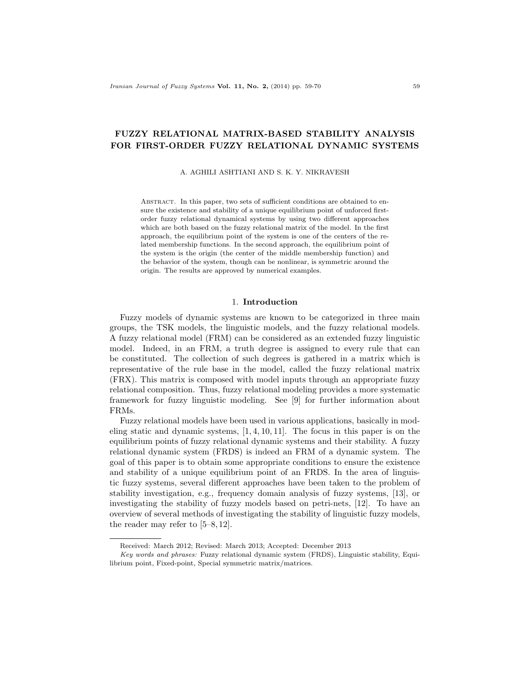# FUZZY RELATIONAL MATRIX-BASED STABILITY ANALYSIS FOR FIRST-ORDER FUZZY RELATIONAL DYNAMIC SYSTEMS

A. AGHILI ASHTIANI AND S. K. Y. NIKRAVESH

ABSTRACT. In this paper, two sets of sufficient conditions are obtained to ensure the existence and stability of a unique equilibrium point of unforced firstorder fuzzy relational dynamical systems by using two different approaches which are both based on the fuzzy relational matrix of the model. In the first approach, the equilibrium point of the system is one of the centers of the related membership functions. In the second approach, the equilibrium point of the system is the origin (the center of the middle membership function) and the behavior of the system, though can be nonlinear, is symmetric around the origin. The results are approved by numerical examples.

## 1. Introduction

Fuzzy models of dynamic systems are known to be categorized in three main groups, the TSK models, the linguistic models, and the fuzzy relational models. A fuzzy relational model (FRM) can be considered as an extended fuzzy linguistic model. Indeed, in an FRM, a truth degree is assigned to every rule that can be constituted. The collection of such degrees is gathered in a matrix which is representative of the rule base in the model, called the fuzzy relational matrix (FRX). This matrix is composed with model inputs through an appropriate fuzzy relational composition. Thus, fuzzy relational modeling provides a more systematic framework for fuzzy linguistic modeling. See [9] for further information about FRMs.

Fuzzy relational models have been used in various applications, basically in modeling static and dynamic systems,  $[1, 4, 10, 11]$ . The focus in this paper is on the equilibrium points of fuzzy relational dynamic systems and their stability. A fuzzy relational dynamic system (FRDS) is indeed an FRM of a dynamic system. The goal of this paper is to obtain some appropriate conditions to ensure the existence and stability of a unique equilibrium point of an FRDS. In the area of linguistic fuzzy systems, several different approaches have been taken to the problem of stability investigation, e.g., frequency domain analysis of fuzzy systems, [13], or investigating the stability of fuzzy models based on petri-nets, [12]. To have an overview of several methods of investigating the stability of linguistic fuzzy models, the reader may refer to [5–8, 12].

Received: March 2012; Revised: March 2013; Accepted: December 2013

Key words and phrases: Fuzzy relational dynamic system (FRDS), Linguistic stability, Equilibrium point, Fixed-point, Special symmetric matrix/matrices.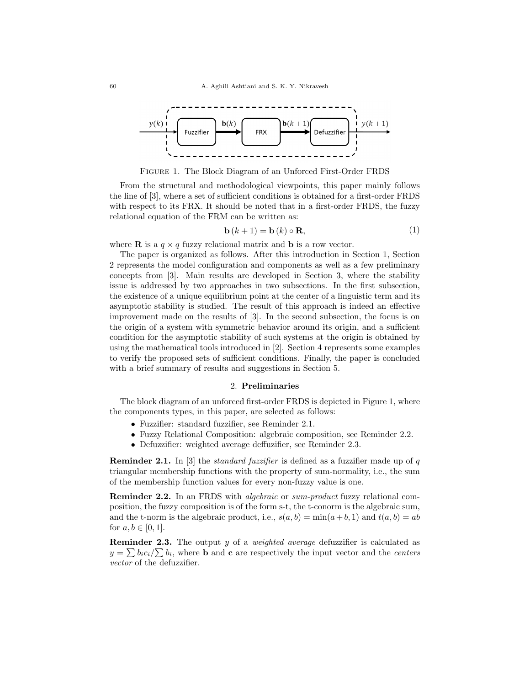

Figure 1. The Block Diagram of an Unforced First-Order FRDS

From the structural and methodological viewpoints, this paper mainly follows the line of [3], where a set of sufficient conditions is obtained for a first-order FRDS with respect to its FRX. It should be noted that in a first-order FRDS, the fuzzy relational equation of the FRM can be written as:

$$
\mathbf{b}(k+1) = \mathbf{b}(k) \circ \mathbf{R},\tag{1}
$$

where **R** is a  $q \times q$  fuzzy relational matrix and **b** is a row vector.

The paper is organized as follows. After this introduction in Section 1, Section 2 represents the model configuration and components as well as a few preliminary concepts from [3]. Main results are developed in Section 3, where the stability issue is addressed by two approaches in two subsections. In the first subsection, the existence of a unique equilibrium point at the center of a linguistic term and its asymptotic stability is studied. The result of this approach is indeed an effective improvement made on the results of [3]. In the second subsection, the focus is on the origin of a system with symmetric behavior around its origin, and a sufficient condition for the asymptotic stability of such systems at the origin is obtained by using the mathematical tools introduced in [2]. Section 4 represents some examples to verify the proposed sets of sufficient conditions. Finally, the paper is concluded with a brief summary of results and suggestions in Section 5.

## 2. Preliminaries

The block diagram of an unforced first-order FRDS is depicted in Figure 1, where the components types, in this paper, are selected as follows:

- Fuzzifier: standard fuzzifier, see Reminder 2.1.
- Fuzzy Relational Composition: algebraic composition, see Reminder 2.2.
- Defuzzifier: weighted average deffuzifier, see Reminder 2.3.

**Reminder 2.1.** In [3] the *standard fuzzifier* is defined as a fuzzifier made up of q triangular membership functions with the property of sum-normality, i.e., the sum of the membership function values for every non-fuzzy value is one.

**Reminder 2.2.** In an FRDS with *algebraic* or *sum-product* fuzzy relational composition, the fuzzy composition is of the form s-t, the t-conorm is the algebraic sum, and the t-norm is the algebraic product, i.e.,  $s(a, b) = min(a + b, 1)$  and  $t(a, b) = ab$ for  $a, b \in [0, 1]$ .

**Reminder 2.3.** The output y of a weighted average defuzzifier is calculated as  $y = \sum b_i c_i / \sum b_i$ , where **b** and **c** are respectively the input vector and the *centers* vector of the defuzzifier.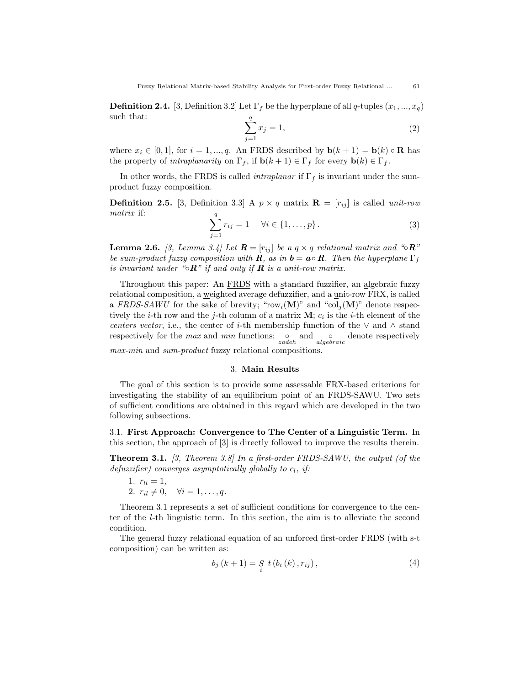**Definition 2.4.** [3, Definition 3.2] Let  $\Gamma_f$  be the hyperplane of all q-tuples  $(x_1, ..., x_q)$ such that:

$$
\sum_{j=1}^{q} x_j = 1,\t\t(2)
$$

where  $x_i \in [0, 1]$ , for  $i = 1, ..., q$ . An FRDS described by  $\mathbf{b}(k+1) = \mathbf{b}(k) \circ \mathbf{R}$  has the property of *intraplanarity* on  $\Gamma_f$ , if  $\mathbf{b}(k+1) \in \Gamma_f$  for every  $\mathbf{b}(k) \in \Gamma_f$ .

In other words, the FRDS is called *intraplanar* if  $\Gamma_f$  is invariant under the sumproduct fuzzy composition.

**Definition 2.5.** [3, Definition 3.3] A  $p \times q$  matrix  $\mathbf{R} = [r_{ij}]$  is called *unit-row* matrix if:

$$
\sum_{j=1}^{q} r_{ij} = 1 \quad \forall i \in \{1, ..., p\}.
$$
 (3)

**Lemma 2.6.** [3, Lemma 3.4] Let  $\mathbf{R} = [r_{ij}]$  be a  $q \times q$  relational matrix and "∘ $\mathbf{R}$ " be sum-product fuzzy composition with **R**, as in  $\mathbf{b} = \mathbf{a} \circ \mathbf{R}$ . Then the hyperplane  $\Gamma_f$ is invariant under "◦ $\mathbb{R}$ " if and only if  $\mathbb{R}$  is a unit-row matrix.

Throughout this paper: An FRDS with a standard fuzzifier, an algebraic fuzzy relational composition, a weighted average defuzzifier, and a unit-row FRX, is called a FRDS-SAWU for the sake of brevity; "row<sub>i</sub>(M)" and "col<sub>i</sub>(M)" denote respectively the *i*-th row and the *j*-th column of a matrix  $M$ ;  $c_i$  is the *i*-th element of the centers vector, i.e., the center of i-th membership function of the  $\vee$  and  $\wedge$  stand respectively for the *max* and *min* functions;  $\frac{1}{zadeh}$  and  $\frac{1}{algebraic}$  denote respectively max-min and sum-product fuzzy relational compositions.

## 3. Main Results

The goal of this section is to provide some assessable FRX-based criterions for investigating the stability of an equilibrium point of an FRDS-SAWU. Two sets of sufficient conditions are obtained in this regard which are developed in the two following subsections.

3.1. First Approach: Convergence to The Center of a Linguistic Term. In this section, the approach of [3] is directly followed to improve the results therein.

**Theorem 3.1.** [3, Theorem 3.8] In a first-order FRDS-SAWU, the output (of the defuzzifier) converges asymptotically globally to  $c_l$ , if:

1. 
$$
ru = 1
$$
,  
2.  $ri_l \neq 0$ ,  $\forall i = 1, ..., q$ .

Theorem 3.1 represents a set of sufficient conditions for convergence to the center of the l-th linguistic term. In this section, the aim is to alleviate the second condition.

The general fuzzy relational equation of an unforced first-order FRDS (with s-t composition) can be written as:

$$
b_{j}(k+1) = S_{i} t(b_{i}(k), r_{ij}), \qquad (4)
$$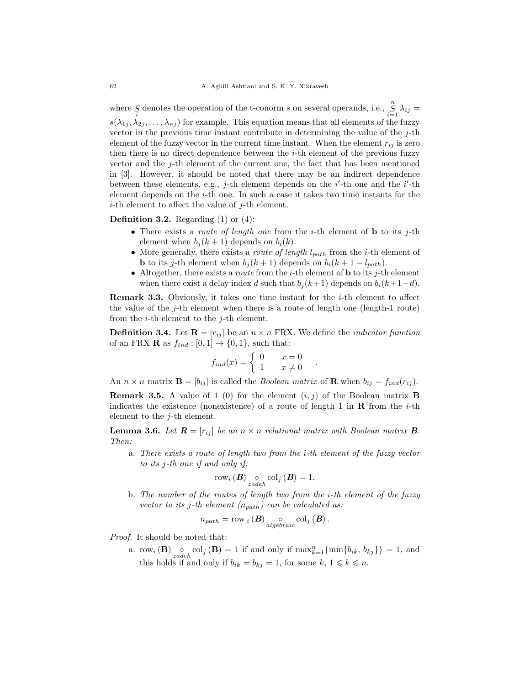where S denotes the operation of the t-conorm s on several operands, i.e.,  $\sum_{i=1}^{n} \lambda_{ij} =$  $s(\lambda_{1j}, \lambda_{2j}, \ldots, \lambda_{nj})$  for example. This equation means that all elements of the fuzzy vector in the previous time instant contribute in determining the value of the  $j$ -th element of the fuzzy vector in the current time instant. When the element  $r_{ij}$  is zero then there is no direct dependence between the i-th element of the previous fuzzy vector and the j-th element of the current one, the fact that has been mentioned in [3]. However, it should be noted that there may be an indirect dependence between these elements, e.g., j-th element depends on the  $i'$ -th one and the  $i'$ -th element depends on the  $i$ -th one. In such a case it takes two time instants for the i-th element to affect the value of j-th element.

**Definition 3.2.** Regarding  $(1)$  or  $(4)$ :

- There exists a *route of length one* from the *i*-th element of **b** to its *j*-th element when  $b_j (k + 1)$  depends on  $b_i (k)$ .
- More generally, there exists a *route of length*  $l_{path}$  from the *i*-th element of **b** to its j-th element when  $b_j (k + 1)$  depends on  $b_i (k + 1 - l_{path})$ .
- Altogether, there exists a *route* from the *i*-th element of **b** to its *j*-th element when there exist a delay index d such that  $b_i (k+1)$  depends on  $b_i (k+1-d)$ .

**Remark 3.3.** Obviously, it takes one time instant for the  $i$ -th element to affect the value of the j-th element when there is a route of length one (length-1 route) from the  $i$ -th element to the  $j$ -th element.

**Definition 3.4.** Let  $\mathbf{R} = [r_{ij}]$  be an  $n \times n$  FRX. We define the *indicator function* of an FRX **R** as  $f_{ind} : [0, 1] \rightarrow \{0, 1\}$ , such that:

$$
f_{ind}(x) = \begin{cases} 0 & x = 0 \\ 1 & x \neq 0 \end{cases}.
$$

An  $n \times n$  matrix  $\mathbf{B} = [b_{ij}]$  is called the *Boolean matrix* of **R** when  $b_{ij} = f_{ind}(r_{ij})$ .

**Remark 3.5.** A value of 1 (0) for the element  $(i, j)$  of the Boolean matrix **B** indicates the existence (nonexistence) of a route of length 1 in **R** from the *i*-th element to the j-th element.

**Lemma 3.6.** Let  $\mathbf{R} = [r_{ij}]$  be an  $n \times n$  relational matrix with Boolean matrix **B**. Then:

a. There exists a route of length two from the i-th element of the fuzzy vector to its j-th one if and only if:

$$
\mathrm{row}_{i}\left(\boldsymbol{B}\right) \underset{zadeh}{\circ} \mathrm{col}_{j}\left(\boldsymbol{B}\right) = 1.
$$

b. The number of the routes of length two from the i-th element of the fuzzy vector to its j-th element  $(n_{path})$  can be calculated as:

$$
n_{path} = \text{row}_{i} (B) \underset{algebraic}{\circ} \text{col}_{j} (B).
$$

Proof. It should be noted that:

a. row<sub>i</sub> (**B**)  $\underset{zadeh}{\circ}$  col<sub>j</sub> (**B**) = 1 if and only if  $\max_{k=1}^{n} {\{\min\{b_{ik}, b_{kj}\}\}} = 1$ , and this holds if and only if  $b_{ik} = b_{kj} = 1$ , for some  $k, 1 \leq k \leq n$ .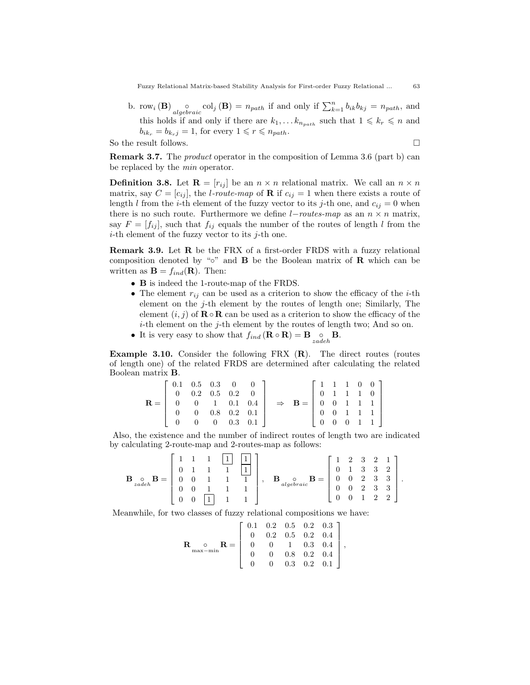Fuzzy Relational Matrix-based Stability Analysis for First-order Fuzzy Relational ... 63

b. row<sub>i</sub> (**B**)  $\underset{algebraic}{\circ}$  col<sub>j</sub> (**B**) =  $n_{path}$  if and only if  $\sum_{k=1}^{n} b_{ik}b_{kj} = n_{path}$ , and this holds if and only if there are  $k_1, \ldots k_{n_{path}}$  such that  $1 \leq k_r \leq n$  and  $b_{ik_r} = b_{k_rj} = 1$ , for every  $1 \leq r \leq n_{path}$ .

So the result follows.  $\Box$ 

Remark 3.7. The product operator in the composition of Lemma 3.6 (part b) can be replaced by the min operator.

**Definition 3.8.** Let  $\mathbf{R} = [r_{ij}]$  be an  $n \times n$  relational matrix. We call an  $n \times n$ matrix, say  $C = [c_{ij}]$ , the *l-route-map* of **R** if  $c_{ij} = 1$  when there exists a route of length l from the *i*-th element of the fuzzy vector to its *j*-th one, and  $c_{ij} = 0$  when there is no such route. Furthermore we define  $l$ −*routes-map* as an  $n \times n$  matrix, say  $F = [f_{ij}]$ , such that  $f_{ij}$  equals the number of the routes of length l from the *i*-th element of the fuzzy vector to its  $j$ -th one.

Remark 3.9. Let R be the FRX of a first-order FRDS with a fuzzy relational composition denoted by "∘" and **B** be the Boolean matrix of **R** which can be written as  $\mathbf{B} = f_{ind}(\mathbf{R})$ . Then:

- B is indeed the 1-route-map of the FRDS.
- The element  $r_{ij}$  can be used as a criterion to show the efficacy of the *i*-th element on the  $j$ -th element by the routes of length one; Similarly, The element  $(i, j)$  of  $\mathbf{R} \circ \mathbf{R}$  can be used as a criterion to show the efficacy of the *i*-th element on the *j*-th element by the routes of length two; And so on.
- It is very easy to show that  $f_{ind}(\mathbf{R} \circ \mathbf{R}) = \mathbf{B} \underset{zadeh}{\circ} \mathbf{B}$ .

**Example 3.10.** Consider the following FRX  $(R)$ . The direct routes (routes of length one) of the related FRDS are determined after calculating the related Boolean matrix B.

|                                                                                |                                                                                                   |  |                          |  |                                                       | $\begin{bmatrix} 1 & 1 & 1 & 0 & 0 \end{bmatrix}$                                     |  |                     |  |
|--------------------------------------------------------------------------------|---------------------------------------------------------------------------------------------------|--|--------------------------|--|-------------------------------------------------------|---------------------------------------------------------------------------------------|--|---------------------|--|
|                                                                                | $\left[\begin{array}{cccc} 0.1 & 0.5 & 0.3 & 0 & 0 \\ 0 & 0.2 & 0.5 & 0.2 & 0 \end{array}\right]$ |  |                          |  |                                                       |                                                                                       |  | $0 \t1 \t1 \t1 \t0$ |  |
| $\mathbf{R} = \begin{bmatrix} 0 & 0 & 1 & 0.1 & 0.4 \end{bmatrix} \Rightarrow$ |                                                                                                   |  |                          |  | $B = \begin{bmatrix} 0 & 0 & 1 & 1 & 1 \end{bmatrix}$ |                                                                                       |  |                     |  |
|                                                                                |                                                                                                   |  | $0 \t 0.8 \t 0.2 \t 0.1$ |  |                                                       |                                                                                       |  |                     |  |
|                                                                                |                                                                                                   |  | $0 \t 0 \t 0.3 \t 0.1$   |  |                                                       | $\left[\begin{array}{cccc} 0 & 0 & 1 & 1 & 1 \\ 0 & 0 & 0 & 1 & 1 \end{array}\right]$ |  |                     |  |

Also, the existence and the number of indirect routes of length two are indicated by calculating 2-route-map and 2-routes-map as follows:

$$
\mathbf{B}_{\substack{\circ}{2}adeh}\mathbf{B} = \begin{bmatrix} 1 & 1 & 1 & 1 \\ 0 & 1 & 1 & 1 & 1 \\ 0 & 0 & 1 & 1 & 1 \\ 0 & 0 & 1 & 1 & 1 \\ 0 & 0 & 1 & 1 & 1 \end{bmatrix}, \quad \mathbf{B}_{\substack{0 \text{ebraic}}} \mathbf{B} = \begin{bmatrix} 1 & 2 & 3 & 2 & 1 \\ 0 & 1 & 3 & 3 & 2 \\ 0 & 0 & 2 & 3 & 3 \\ 0 & 0 & 2 & 3 & 3 \\ 0 & 0 & 1 & 2 & 2 \end{bmatrix}.
$$

Meanwhile, for two classes of fuzzy relational compositions we have:

$$
\mathbf{R}_{\text{max-min}} \mathbf{R} = \left[ \begin{array}{cccc} 0.1 & 0.2 & 0.5 & 0.2 & 0.3 \\ 0 & 0.2 & 0.5 & 0.2 & 0.4 \\ 0 & 0 & 1 & 0.3 & 0.4 \\ 0 & 0 & 0.8 & 0.2 & 0.4 \\ 0 & 0 & 0.3 & 0.2 & 0.1 \end{array} \right],
$$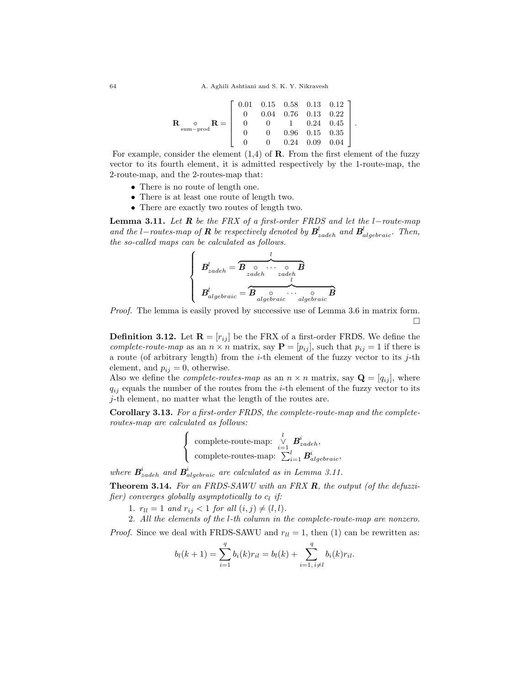$$
\mathbf{R}_{\text{sum-prod}} \mathbf{R} = \left[ \begin{array}{ccccc} 0.01 & 0.15 & 0.58 & 0.13 & 0.12 \\ 0 & 0.04 & 0.76 & 0.13 & 0.22 \\ 0 & 0 & 1 & 0.24 & 0.45 \\ 0 & 0 & 0.96 & 0.15 & 0.35 \\ 0 & 0 & 0.24 & 0.09 & 0.04 \end{array} \right].
$$

For example, consider the element  $(1,4)$  of **R**. From the first element of the fuzzy vector to its fourth element, it is admitted respectively by the 1-route-map, the 2-route-map, and the 2-routes-map that:

- There is no route of length one.
- There is at least one route of length two.
- There are exactly two routes of length two.

**Lemma 3.11.** Let  $R$  be the FRX of a first-order FRDS and let the l−route-map and the l–routes-map of **R** be respectively denoted by  $B^{l}_{zadeh}$  and  $B^{l}_{algebraic}$ . Then, the so-called maps can be calculated as follows.

 B l zadeh = l z }| { B ◦ zadeh · · · ◦ zadeh B B l algebraic = l z }| { B ◦ algebraic · · · ◦ algebraic B

Proof. The lemma is easily proved by successive use of Lemma 3.6 in matrix form. П

**Definition 3.12.** Let  $\mathbf{R} = [r_{ij}]$  be the FRX of a first-order FRDS. We define the complete-route-map as an  $n \times n$  matrix, say  $\mathbf{P} = [p_{ij}]$ , such that  $p_{ij} = 1$  if there is a route (of arbitrary length) from the  $i$ -th element of the fuzzy vector to its  $j$ -th element, and  $p_{ij} = 0$ , otherwise.

Also we define the *complete-routes-map* as an  $n \times n$  matrix, say  $\mathbf{Q} = [q_{ij}]$ , where  $q_{ij}$  equals the number of the routes from the *i*-th element of the fuzzy vector to its j-th element, no matter what the length of the routes are.

Corollary 3.13. For a first-order FRDS, the complete-route-map and the completeroutes-map are calculated as follows:

$$
\left\{\begin{array}{l}\text{complete-route-map:} \begin{array}{c} l \\ \vee \\ i=1 \end{array} \!\!\!\! \mathbf{B}^i_{zadeh}, \\ \text{complete-routers-map:} \begin{array}{c} \sum_{i=1}^{l} \mathbf{B}^i_{algebraic}, \end{array}\end{array}\right.
$$

where  $B_{zadeh}^{i}$  and  $B_{algebraic}^{i}$  are calculated as in Lemma 3.11.

**Theorem 3.14.** For an FRDS-SAWU with an FRX  $\mathbf{R}$ , the output (of the defuzzifier) converges globally asymptotically to  $c_l$  if:

1.  $r_{ll} = 1$  and  $r_{ij} < 1$  for all  $(i, j) \neq (l, l)$ .

2. All the elements of the l-th column in the complete-route-map are nonzero.

*Proof.* Since we deal with FRDS-SAWU and  $r_{ll} = 1$ , then (1) can be rewritten as:

$$
b_l(k+1) = \sum_{i=1}^q b_i(k)r_{il} = b_l(k) + \sum_{i=1, i \neq l}^q b_i(k)r_{il}.
$$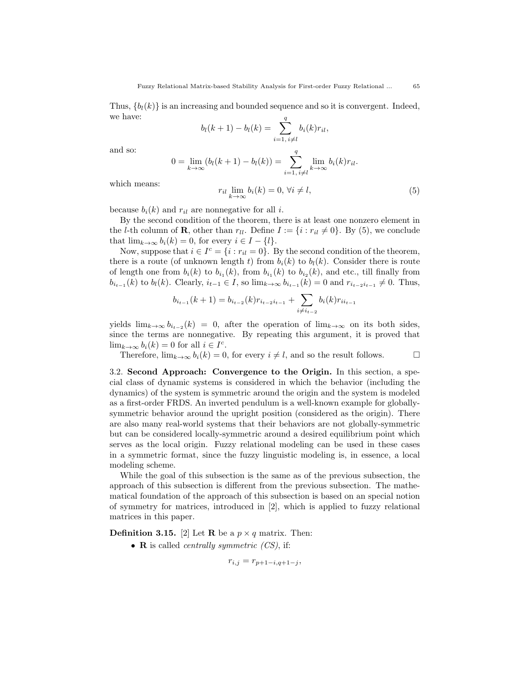Thus,  $\{b_l(k)\}\$ is an increasing and bounded sequence and so it is convergent. Indeed, we have:

$$
b_l(k + 1) - b_l(k) = \sum_{i=1, i \neq l}^{q} b_i(k) r_{il},
$$

and so:

$$
0 = \lim_{k \to \infty} (b_l(k+1) - b_l(k)) = \sum_{i=1, i \neq l}^{q} \lim_{k \to \infty} b_i(k)r_{il}.
$$

which means:

$$
r_{il} \lim_{k \to \infty} b_i(k) = 0, \forall i \neq l,
$$
\n(5)

because  $b_i(k)$  and  $r_{il}$  are nonnegative for all i.

By the second condition of the theorem, there is at least one nonzero element in the *l*-th column of **R**, other than  $r_{ll}$ . Define  $I := \{i : r_{il} \neq 0\}$ . By (5), we conclude that  $\lim_{k\to\infty} b_i(k) = 0$ , for every  $i \in I - \{l\}.$ 

Now, suppose that  $i \in I^c = \{i : r_{il} = 0\}$ . By the second condition of the theorem, there is a route (of unknown length t) from  $b_i(k)$  to  $b_l(k)$ . Consider there is route of length one from  $b_i(k)$  to  $b_{i_1}(k)$ , from  $b_{i_1}(k)$  to  $b_{i_2}(k)$ , and etc., till finally from  $b_{i_{t-1}}(k)$  to  $b_l(k)$ . Clearly,  $i_{t-1} \in I$ , so  $\lim_{k \to \infty} b_{i_{t-1}}(k) = 0$  and  $r_{i_{t-2},i_{t-1}} \neq 0$ . Thus,

$$
b_{i_{t-1}}(k+1) = b_{i_{t-2}}(k)r_{i_{t-2}i_{t-1}} + \sum_{i \neq i_{t-2}} b_i(k)r_{i_{t-1}}
$$

yields  $\lim_{k\to\infty} b_{i_{t-2}}(k) = 0$ , after the operation of  $\lim_{k\to\infty}$  on its both sides, since the terms are nonnegative. By repeating this argument, it is proved that  $\lim_{k\to\infty} b_i(k) = 0$  for all  $i \in I^c$ .

Therefore,  $\lim_{k\to\infty} b_i(k) = 0$ , for every  $i \neq l$ , and so the result follows.  $\Box$ 

3.2. Second Approach: Convergence to the Origin. In this section, a special class of dynamic systems is considered in which the behavior (including the dynamics) of the system is symmetric around the origin and the system is modeled as a first-order FRDS. An inverted pendulum is a well-known example for globallysymmetric behavior around the upright position (considered as the origin). There are also many real-world systems that their behaviors are not globally-symmetric but can be considered locally-symmetric around a desired equilibrium point which serves as the local origin. Fuzzy relational modeling can be used in these cases in a symmetric format, since the fuzzy linguistic modeling is, in essence, a local modeling scheme.

While the goal of this subsection is the same as of the previous subsection, the approach of this subsection is different from the previous subsection. The mathematical foundation of the approach of this subsection is based on an special notion of symmetry for matrices, introduced in [2], which is applied to fuzzy relational matrices in this paper.

**Definition 3.15.** [2] Let **R** be a  $p \times q$  matrix. Then:

• **R** is called *centrally symmetric*  $(CS)$ , if:

$$
r_{i,j} = r_{p+1-i,q+1-j},
$$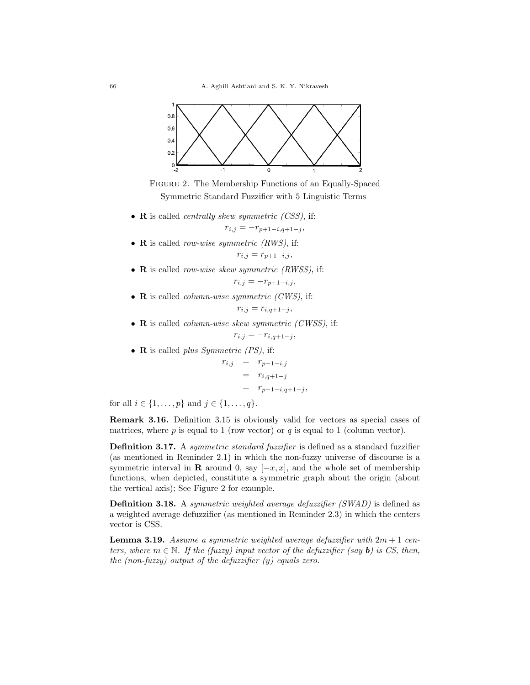

FIGURE 2. The Membership Functions of an Equally-Spaced Symmetric Standard Fuzzifier with 5 Linguistic Terms

•  $\bf{R}$  is called *centrally skew symmetric (CSS)*, if:

$$
r_{i,j} = -r_{p+1-i,q+1-j},
$$

- R is called *row-wise symmetric (RWS)*, if:  $r_{i,j} = r_{p+1-i,j},$
- R is called *row-wise skew symmetric (RWSS)*, if:  $r_{i,j} = -r_{p+1-i,j}$
- R is called *column-wise symmetric (CWS)*, if:

$$
r_{i,j}=r_{i,q+1-j},
$$

 $\bullet$  **R** is called *column-wise skew symmetric (CWSS)*, if:

$$
r_{i,j} = -r_{i,q+1-j},
$$

• **R** is called *plus Symmetric (PS)*, if:

 $r_{i,j}$  =  $r_{p+1-i,j}$  $=$   $r_{i,q+1-j}$  $= r_{p+1-i,q+1-j},$ 

for all  $i \in \{1, ..., p\}$  and  $j \in \{1, ..., q\}$ .

Remark 3.16. Definition 3.15 is obviously valid for vectors as special cases of matrices, where  $p$  is equal to 1 (row vector) or  $q$  is equal to 1 (column vector).

Definition 3.17. A symmetric standard fuzzifier is defined as a standard fuzzifier (as mentioned in Reminder 2.1) in which the non-fuzzy universe of discourse is a symmetric interval in **R** around 0, say  $[-x, x]$ , and the whole set of membership functions, when depicted, constitute a symmetric graph about the origin (about the vertical axis); See Figure 2 for example.

Definition 3.18. A symmetric weighted average defuzzifier (SWAD) is defined as a weighted average defuzzifier (as mentioned in Reminder 2.3) in which the centers vector is CSS.

**Lemma 3.19.** Assume a symmetric weighted average defuzzifier with  $2m + 1$  centers, where  $m \in \mathbb{N}$ . If the (fuzzy) input vector of the defuzzifier (say **b**) is CS, then, the  $(non-fuzzy)$  output of the defuzzifier  $(y)$  equals zero.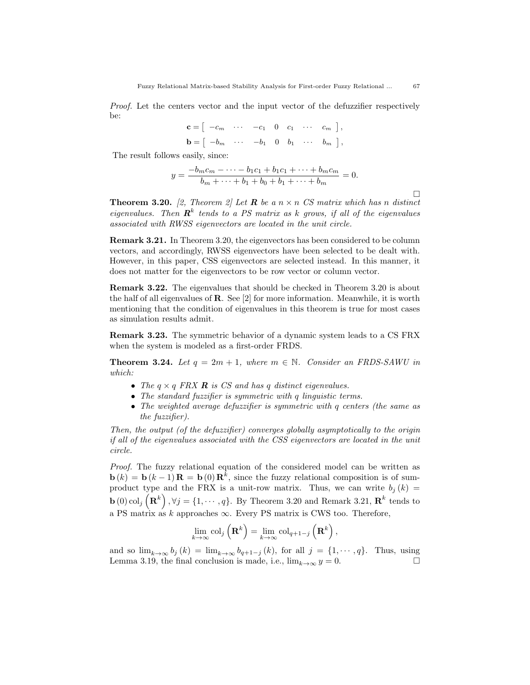Proof. Let the centers vector and the input vector of the defuzzifier respectively be:

| $\mathbf{c} = \begin{bmatrix} -c_m & \cdots & -c_1 & 0 & c_1 & \cdots & c_m \end{bmatrix},$                    |  |  |  |  |
|----------------------------------------------------------------------------------------------------------------|--|--|--|--|
| $\mathbf{b} = \left[ \begin{array}{cccccc} -b_m & \cdots & -b_1 & 0 & b_1 & \cdots & b_m \end{array} \right],$ |  |  |  |  |

The result follows easily, since:

$$
y = \frac{-b_m c_m - \dots - b_1 c_1 + b_1 c_1 + \dots + b_m c_m}{b_m + \dots + b_1 + b_0 + b_1 + \dots + b_m} = 0.
$$

**Theorem 3.20.** [2, Theorem 2] Let **R** be a  $n \times n$  CS matrix which has n distinct eigenvalues. Then  $\mathbf{R}^k$  tends to a PS matrix as k grows, if all of the eigenvalues associated with RWSS eigenvectors are located in the unit circle.

Remark 3.21. In Theorem 3.20, the eigenvectors has been considered to be column vectors, and accordingly, RWSS eigenvectors have been selected to be dealt with. However, in this paper, CSS eigenvectors are selected instead. In this manner, it does not matter for the eigenvectors to be row vector or column vector.

Remark 3.22. The eigenvalues that should be checked in Theorem 3.20 is about the half of all eigenvalues of R. See [2] for more information. Meanwhile, it is worth mentioning that the condition of eigenvalues in this theorem is true for most cases as simulation results admit.

Remark 3.23. The symmetric behavior of a dynamic system leads to a CS FRX when the system is modeled as a first-order FRDS.

**Theorem 3.24.** Let  $q = 2m + 1$ , where  $m \in \mathbb{N}$ . Consider an FRDS-SAWU in which:

- The  $q \times q$  FRX **R** is CS and has q distinct eigenvalues.
- The standard fuzzifier is symmetric with q linguistic terms.
- The weighted average defuzzifier is symmetric with q centers (the same as the fuzzifier).

Then, the output (of the defuzzifier) converges globally asymptotically to the origin if all of the eigenvalues associated with the CSS eigenvectors are located in the unit circle.

Proof. The fuzzy relational equation of the considered model can be written as  $\mathbf{b}(k) = \mathbf{b}(k-1)\mathbf{R} = \mathbf{b}(0)\mathbf{R}^{k}$ , since the fuzzy relational composition is of sumproduct type and the FRX is a unit-row matrix. Thus, we can write  $b_j (k) =$  $\mathbf{b}(0) \text{col}_j\left(\mathbf{R}^k\right), \forall j = \{1, \cdots, q\}.$  By Theorem 3.20 and Remark 3.21,  $\mathbf{R}^k$  tends to a PS matrix as k approaches  $\infty$ . Every PS matrix is CWS too. Therefore,

$$
\lim_{k\to\infty} \mathrm{col}_j\left(\mathbf{R}^k\right) = \lim_{k\to\infty} \mathrm{col}_{q+1-j}\left(\mathbf{R}^k\right),\,
$$

and so  $\lim_{k\to\infty} b_j(k) = \lim_{k\to\infty} b_{q+1-j}(k)$ , for all  $j = \{1, \dots, q\}$ . Thus, using Lemma 3.19, the final conclusion is made, i.e.,  $\lim_{k\to\infty} y = 0$ . Lemma 3.19, the final conclusion is made, i.e.,  $\lim_{k\to\infty} y = 0$ .

 $\Box$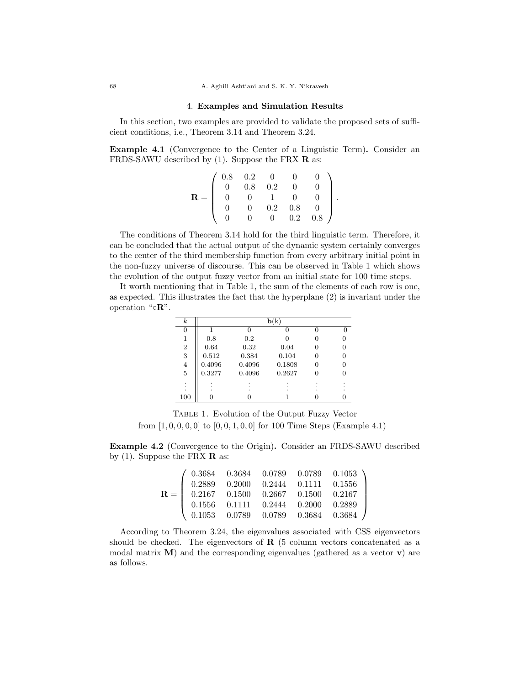### 68 A. Aghili Ashtiani and S. K. Y. Nikravesh

## 4. Examples and Simulation Results

In this section, two examples are provided to validate the proposed sets of sufficient conditions, i.e., Theorem 3.14 and Theorem 3.24.

Example 4.1 (Convergence to the Center of a Linguistic Term). Consider an FRDS-SAWU described by  $(1)$ . Suppose the FRX **R** as:

|             | $\begin{array}{ccc} 0.8 & 0.2 & 0 \\ 0 & 0.8 & 0.2 \end{array}$ |                 |     |     |  |
|-------------|-----------------------------------------------------------------|-----------------|-----|-----|--|
| $\mathbf R$ |                                                                 |                 |     |     |  |
|             |                                                                 | $\frac{0.2}{0}$ | 0.8 |     |  |
|             |                                                                 |                 | 0.2 | 0.8 |  |

.

The conditions of Theorem 3.14 hold for the third linguistic term. Therefore, it can be concluded that the actual output of the dynamic system certainly converges to the center of the third membership function from every arbitrary initial point in the non-fuzzy universe of discourse. This can be observed in Table 1 which shows the evolution of the output fuzzy vector from an initial state for 100 time steps.

It worth mentioning that in Table 1, the sum of the elements of each row is one, as expected. This illustrates the fact that the hyperplane (2) is invariant under the operation "◦R".

| $_{k}$           |        |        | ${\bf b}({\bf k})$ |   |  |
|------------------|--------|--------|--------------------|---|--|
| $\theta$         |        | 0      |                    |   |  |
| 1                | 0.8    | 0.2    |                    |   |  |
| $\boldsymbol{2}$ | 0.64   | 0.32   | 0.04               | 0 |  |
| 3                | 0.512  | 0.384  | 0.104              | 0 |  |
| $\overline{4}$   | 0.4096 | 0.4096 | 0.1808             | 0 |  |
| $\overline{5}$   | 0.3277 | 0.4096 | 0.2627             | 0 |  |
| $\bullet$        |        |        |                    |   |  |
|                  |        |        |                    |   |  |
| 100              | 0      |        |                    |   |  |

Table 1. Evolution of the Output Fuzzy Vector from  $[1, 0, 0, 0, 0]$  to  $[0, 0, 1, 0, 0]$  for 100 Time Steps (Example 4.1)

Example 4.2 (Convergence to the Origin). Consider an FRDS-SAWU described by (1). Suppose the FRX  $\bf{R}$  as:

|  |  | $\mathbf{R} = \left( \begin{array}{cccc} 0.3684 & 0.3684 & 0.0789 & 0.0789 & 0.1053 \ 0.2889 & 0.2000 & 0.2444 & 0.1111 & 0.1556 \ 0.2167 & 0.1500 & 0.2667 & 0.1500 & 0.2167 \ 0.1556 & 0.1111 & 0.2444 & 0.2000 & 0.2889 \ 0.1053 & 0.0789 & 0.0789 & 0.3684 & 0.3684 \end{array$ |
|--|--|-------------------------------------------------------------------------------------------------------------------------------------------------------------------------------------------------------------------------------------------------------------------------------------|

According to Theorem 3.24, the eigenvalues associated with CSS eigenvectors should be checked. The eigenvectors of  $\bf{R}$  (5 column vectors concatenated as a modal matrix  $M$ ) and the corresponding eigenvalues (gathered as a vector  $v$ ) are as follows.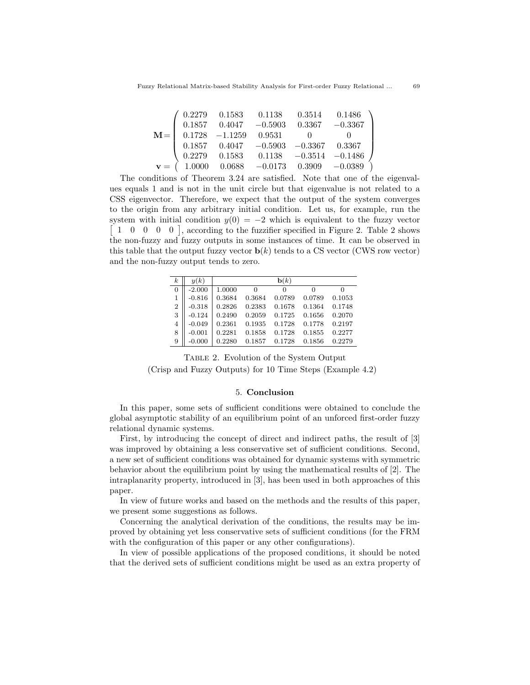|        |                             |                                                                               | $\begin{array}{cccc} 0.2279 & 0.1583 & 0.1138 & 0.3514 & 0.1486 \end{array}$ |  |
|--------|-----------------------------|-------------------------------------------------------------------------------|------------------------------------------------------------------------------|--|
|        |                             | $0.1857 \qquad 0.4047 \qquad -0.5903 \qquad 0.3367 \qquad -0.3367$            |                                                                              |  |
|        | $M =$ 0.1728 -1.1259 0.9531 |                                                                               |                                                                              |  |
|        |                             |                                                                               | $0.1857 \qquad 0.4047 \qquad -0.5903 \qquad -0.3367 \qquad 0.3367$           |  |
| 0.2279 |                             | $0.1583$ $0.1138$ $-0.3514$ $-0.1486$                                         |                                                                              |  |
|        |                             | $\mathbf{v} = (1.0000 \quad 0.0688 \quad -0.0173 \quad 0.3909 \quad -0.0389)$ |                                                                              |  |

The conditions of Theorem 3.24 are satisfied. Note that one of the eigenvalues equals 1 and is not in the unit circle but that eigenvalue is not related to a CSS eigenvector. Therefore, we expect that the output of the system converges to the origin from any arbitrary initial condition. Let us, for example, run the system with initial condition  $y(0) = -2$  which is equivalent to the fuzzy vector [ 1 0 0 0 0 ], according to the fuzzifier specified in Figure 2. Table 2 shows the non-fuzzy and fuzzy outputs in some instances of time. It can be observed in this table that the output fuzzy vector  $\mathbf{b}(k)$  tends to a CS vector (CWS row vector) and the non-fuzzy output tends to zero.

| $_{k}$         | y(k)     |        |        | $\mathbf{b}(k)$ |        |        |
|----------------|----------|--------|--------|-----------------|--------|--------|
| $\overline{0}$ | $-2.000$ | 1.0000 | 0      | 0               |        | 0      |
| 1              | $-0.816$ | 0.3684 | 0.3684 | 0.0789          | 0.0789 | 0.1053 |
| $\overline{2}$ | $-0.318$ | 0.2826 | 0.2383 | 0.1678          | 0.1364 | 0.1748 |
| 3              | $-0.124$ | 0.2490 | 0.2059 | 0.1725          | 0.1656 | 0.2070 |
| 4              | $-0.049$ | 0.2361 | 0.1935 | 0.1728          | 0.1778 | 0.2197 |
| 8              | $-0.001$ | 0.2281 | 0.1858 | 0.1728          | 0.1855 | 0.2277 |
| 9              | $-0.000$ | 0.2280 | 0.1857 | 0.1728          | 0.1856 | 0.2279 |

Table 2. Evolution of the System Output (Crisp and Fuzzy Outputs) for 10 Time Steps (Example 4.2)

## 5. Conclusion

In this paper, some sets of sufficient conditions were obtained to conclude the global asymptotic stability of an equilibrium point of an unforced first-order fuzzy relational dynamic systems.

First, by introducing the concept of direct and indirect paths, the result of [3] was improved by obtaining a less conservative set of sufficient conditions. Second, a new set of sufficient conditions was obtained for dynamic systems with symmetric behavior about the equilibrium point by using the mathematical results of [2]. The intraplanarity property, introduced in [3], has been used in both approaches of this paper.

In view of future works and based on the methods and the results of this paper, we present some suggestions as follows.

Concerning the analytical derivation of the conditions, the results may be improved by obtaining yet less conservative sets of sufficient conditions (for the FRM with the configuration of this paper or any other configurations).

In view of possible applications of the proposed conditions, it should be noted that the derived sets of sufficient conditions might be used as an extra property of